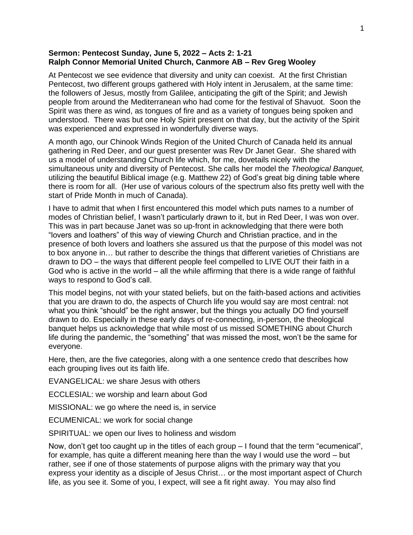## **Sermon: Pentecost Sunday, June 5, 2022 – Acts 2: 1-21 Ralph Connor Memorial United Church, Canmore AB – Rev Greg Wooley**

At Pentecost we see evidence that diversity and unity can coexist. At the first Christian Pentecost, two different groups gathered with Holy intent in Jerusalem, at the same time: the followers of Jesus, mostly from Galilee, anticipating the gift of the Spirit; and Jewish people from around the Mediterranean who had come for the festival of Shavuot. Soon the Spirit was there as wind, as tongues of fire and as a variety of tongues being spoken and understood. There was but one Holy Spirit present on that day, but the activity of the Spirit was experienced and expressed in wonderfully diverse ways.

A month ago, our Chinook Winds Region of the United Church of Canada held its annual gathering in Red Deer, and our guest presenter was Rev Dr Janet Gear. She shared with us a model of understanding Church life which, for me, dovetails nicely with the simultaneous unity and diversity of Pentecost. She calls her model the *Theological Banquet,* utilizing the beautiful Biblical image (e.g. Matthew 22) of God's great big dining table where there is room for all. (Her use of various colours of the spectrum also fits pretty well with the start of Pride Month in much of Canada).

I have to admit that when I first encountered this model which puts names to a number of modes of Christian belief, I wasn't particularly drawn to it, but in Red Deer, I was won over. This was in part because Janet was so up-front in acknowledging that there were both "lovers and loathers" of this way of viewing Church and Christian practice, and in the presence of both lovers and loathers she assured us that the purpose of this model was not to box anyone in… but rather to describe the things that different varieties of Christians are drawn to DO – the ways that different people feel compelled to LIVE OUT their faith in a God who is active in the world – all the while affirming that there is a wide range of faithful ways to respond to God's call.

This model begins, not with your stated beliefs, but on the faith-based actions and activities that you are drawn to do, the aspects of Church life you would say are most central: not what you think "should" be the right answer, but the things you actually DO find yourself drawn to do. Especially in these early days of re-connecting, in-person, the theological banquet helps us acknowledge that while most of us missed SOMETHING about Church life during the pandemic, the "something" that was missed the most, won't be the same for everyone.

Here, then, are the five categories, along with a one sentence credo that describes how each grouping lives out its faith life.

EVANGELICAL: we share Jesus with others

ECCLESIAL: we worship and learn about God

MISSIONAL: we go where the need is, in service

ECUMENICAL: we work for social change

SPIRITUAL: we open our lives to holiness and wisdom

Now, don't get too caught up in the titles of each group – I found that the term "ecumenical", for example, has quite a different meaning here than the way I would use the word – but rather, see if one of those statements of purpose aligns with the primary way that you express your identity as a disciple of Jesus Christ… or the most important aspect of Church life, as you see it. Some of you, I expect, will see a fit right away. You may also find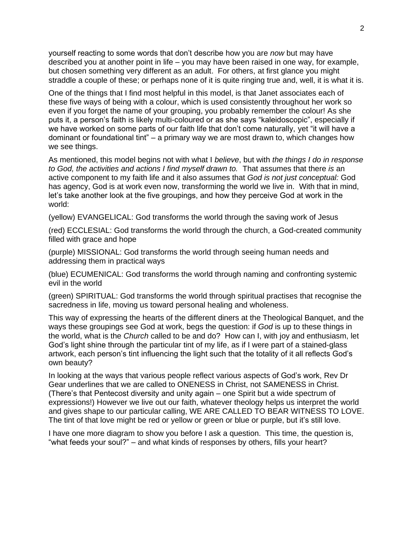yourself reacting to some words that don't describe how you are *now* but may have described you at another point in life – you may have been raised in one way, for example, but chosen something very different as an adult. For others, at first glance you might straddle a couple of these; or perhaps none of it is quite ringing true and, well, it is what it is.

One of the things that I find most helpful in this model, is that Janet associates each of these five ways of being with a colour, which is used consistently throughout her work so even if you forget the name of your grouping, you probably remember the colour! As she puts it, a person's faith is likely multi-coloured or as she says "kaleidoscopic", especially if we have worked on some parts of our faith life that don't come naturally, yet "it will have a dominant or foundational tint" – a primary way we are most drawn to, which changes how we see things.

As mentioned, this model begins not with what I *believe*, but with *the things I do in response to God, the activities and actions I find myself drawn to.* That assumes that there *is* an active component to my faith life and it also assumes that *God is not just conceptual:* God has agency, God is at work even now, transforming the world we live in. With that in mind, let's take another look at the five groupings, and how they perceive God at work in the world:

(yellow) EVANGELICAL: God transforms the world through the saving work of Jesus

(red) ECCLESIAL: God transforms the world through the church, a God-created community filled with grace and hope

(purple) MISSIONAL: God transforms the world through seeing human needs and addressing them in practical ways

(blue) ECUMENICAL: God transforms the world through naming and confronting systemic evil in the world

(green) SPIRITUAL: God transforms the world through spiritual practises that recognise the sacredness in life, moving us toward personal healing and wholeness.

This way of expressing the hearts of the different diners at the Theological Banquet, and the ways these groupings see God at work, begs the question: if *God* is up to these things in the world, what is the *Church* called to be and do? How can I, with joy and enthusiasm, let God's light shine through the particular tint of my life, as if I were part of a stained-glass artwork, each person's tint influencing the light such that the totality of it all reflects God's own beauty?

In looking at the ways that various people reflect various aspects of God's work, Rev Dr Gear underlines that we are called to ONENESS in Christ, not SAMENESS in Christ. (There's that Pentecost diversity and unity again – one Spirit but a wide spectrum of expressions!) However we live out our faith, whatever theology helps us interpret the world and gives shape to our particular calling, WE ARE CALLED TO BEAR WITNESS TO LOVE. The tint of that love might be red or yellow or green or blue or purple, but it's still love.

I have one more diagram to show you before I ask a question. This time, the question is, "what feeds your soul?" – and what kinds of responses by others, fills your heart?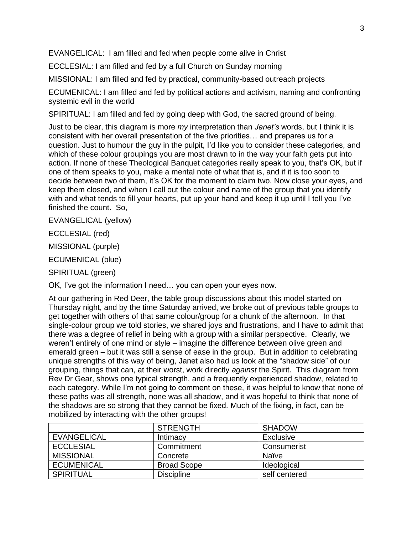EVANGELICAL: I am filled and fed when people come alive in Christ

ECCLESIAL: I am filled and fed by a full Church on Sunday morning

MISSIONAL: I am filled and fed by practical, community-based outreach projects

ECUMENICAL: I am filled and fed by political actions and activism, naming and confronting systemic evil in the world

SPIRITUAL: I am filled and fed by going deep with God, the sacred ground of being.

Just to be clear, this diagram is more *my* interpretation than *Janet's* words, but I think it is consistent with her overall presentation of the five priorities… and prepares us for a question. Just to humour the guy in the pulpit, I'd like you to consider these categories, and which of these colour groupings you are most drawn to in the way your faith gets put into action. If none of these Theological Banquet categories really speak to you, that's OK, but if one of them speaks to you, make a mental note of what that is, and if it is too soon to decide between two of them, it's OK for the moment to claim two. Now close your eyes, and keep them closed, and when I call out the colour and name of the group that you identify with and what tends to fill your hearts, put up your hand and keep it up until I tell you I've finished the count. So,

EVANGELICAL (yellow)

ECCLESIAL (red)

MISSIONAL (purple)

ECUMENICAL (blue)

SPIRITUAL (green)

OK, I've got the information I need… you can open your eyes now.

At our gathering in Red Deer, the table group discussions about this model started on Thursday night, and by the time Saturday arrived, we broke out of previous table groups to get together with others of that same colour/group for a chunk of the afternoon. In that single-colour group we told stories, we shared joys and frustrations, and I have to admit that there was a degree of relief in being with a group with a similar perspective. Clearly, we weren't entirely of one mind or style – imagine the difference between olive green and emerald green – but it was still a sense of ease in the group. But in addition to celebrating unique strengths of this way of being, Janet also had us look at the "shadow side" of our grouping, things that can, at their worst, work directly *against* the Spirit. This diagram from Rev Dr Gear, shows one typical strength, and a frequently experienced shadow, related to each category. While I'm not going to comment on these, it was helpful to know that none of these paths was all strength, none was all shadow, and it was hopeful to think that none of the shadows are so strong that they cannot be fixed. Much of the fixing, in fact, can be mobilized by interacting with the other groups!

|                    | <b>STRENGTH</b>    | <b>SHADOW</b> |
|--------------------|--------------------|---------------|
| <b>EVANGELICAL</b> | Intimacy           | Exclusive     |
| <b>ECCLESIAL</b>   | Commitment         | Consumerist   |
| <b>MISSIONAL</b>   | Concrete           | Naïve         |
| <b>ECUMENICAL</b>  | <b>Broad Scope</b> | Ideological   |
| <b>SPIRITUAL</b>   | <b>Discipline</b>  | self centered |